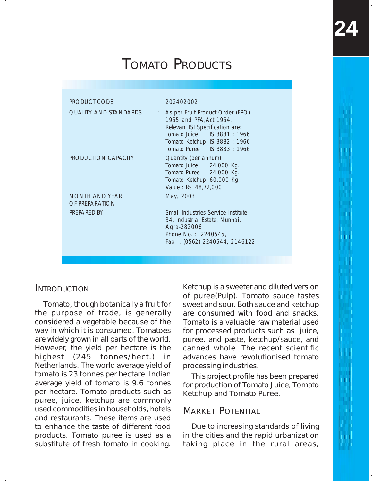| <b>PRODUCT CODE</b>                     | : 202402002                                                                                                                                                                                    |  |
|-----------------------------------------|------------------------------------------------------------------------------------------------------------------------------------------------------------------------------------------------|--|
| OUALITY AND STANDARDS                   | : As per Fruit Product Order (FPO),<br>1955 and PFA, Act 1954.<br>Relevant ISI Specification are:<br>Tomato Juice IS 3881: 1966<br>Tomato Ketchup IS 3882 : 1966<br>Tomato Puree IS 3883: 1966 |  |
| PRODUCTION CAPACITY                     | : Quantity (per annum):<br>Tomato Juice 24,000 Kg.<br>Tomato Puree 24,000 Kg.<br>Tomato Ketchup 60,000 Kg<br>Value: Rs. 48,72,000                                                              |  |
| <b>MONTH AND YEAR</b><br>OF PREPARATION | : May, 2003                                                                                                                                                                                    |  |
| PREPARED BY                             | : Small Industries Service Institute<br>34, Industrial Estate, Nunhai,<br>Agra-282006<br>Phone No.: 2240545,<br>Fax: (0562) 2240544, 2146122                                                   |  |

## **INTRODUCTION**

Tomato, though botanically a fruit for the purpose of trade, is generally considered a vegetable because of the way in which it is consumed. Tomatoes are widely grown in all parts of the world. However, the yield per hectare is the highest (245 tonnes/hect.) in Netherlands. The world average yield of tomato is 23 tonnes per hectare. Indian average yield of tomato is 9.6 tonnes per hectare. Tomato products such as puree, juice, ketchup are commonly used commodities in households, hotels and restaurants. These items are used to enhance the taste of different food products. Tomato puree is used as a substitute of fresh tomato in cooking.

Ketchup is a sweeter and diluted version of puree(Pulp). Tomato sauce tastes sweet and sour. Both sauce and ketchup are consumed with food and snacks. Tomato is a valuable raw material used for processed products such as juice, puree, and paste, ketchup/sauce, and canned whole. The recent scientific advances have revolutionised tomato processing industries.

This project profile has been prepared for production of Tomato Juice, Tomato Ketchup and Tomato Puree.

## MARKET POTENTIAL

Due to increasing standards of living in the cities and the rapid urbanization taking place in the rural areas,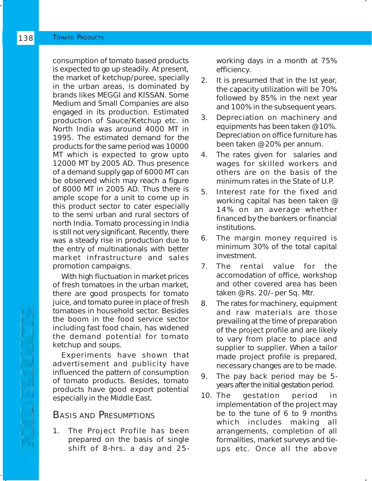consumption of tomato based products is expected to go up steadily. At present, the market of ketchup/puree, specially in the urban areas, is dominated by brands likes MEGGI and KISSAN. Some Medium and Small Companies are also engaged in its production. Estimated production of Sauce/Ketchup etc. in North India was around 4000 MT in 1995. The estimated demand for the products for the same period was 10000 MT which is expected to grow upto 12000 MT by 2005 AD. Thus presence of a demand supply gap of 6000 MT can be observed which may reach a figure of 8000 MT in 2005 AD. Thus there is ample scope for a unit to come up in this product sector to cater especially to the semi urban and rural sectors of north India. Tomato processing in India is still not very significant. Recently, there was a steady rise in production due to the entry of multinationals with better market infrastructure and sales promotion campaigns.

With high fluctuation in market prices of fresh tomatoes in the urban market, there are good prospects for tomato juice, and tomato puree in place of fresh tomatoes in household sector. Besides the boom in the food service sector including fast food chain, has widened the demand potential for tomato ketchup and soups.

Experiments have shown that advertisement and publicity have influenced the pattern of consumption of tomato products. Besides, tomato products have good export potential especially in the Middle East.

# BASIS AND PRESUMPTIONS

1. The Project Profile has been prepared on the basis of single shift of 8-hrs. a day and 25working days in a month at 75% efficiency.

- 2. It is presumed that in the Ist year, the capacity utilization will be 70% followed by 85% in the next year and 100% in the subsequent years.
- 3. Depreciation on machinery and equipments has been taken @ 10%. Depreciation on office furniture has been taken @ 20% per annum.
- 4. The rates given for salaries and wages for skilled workers and others are on the basis of the minimum rates in the State of U.P.
- 5. Interest rate for the fixed and working capital has been taken @ 14% on an average whether financed by the bankers or financial institutions.
- 6. The margin money required is minimum 30% of the total capital investment.
- 7. The rental value for the accomodation of office, workshop and other covered area has been taken @ Rs. 20/- per Sq. Mtr.
- 8. The rates for machinery, equipment and raw materials are those prevailing at the time of preparation of the project profile and are likely to vary from place to place and supplier to supplier. When a tailor made project profile is prepared, necessary changes are to be made.
- 9. The pay back period may be 5 years after the initial gestation period.
- 10. The gestation period in implementation of the project may be to the tune of 6 to 9 months which includes making all arrangements, completion of all formalities, market surveys and tieups etc. Once all the above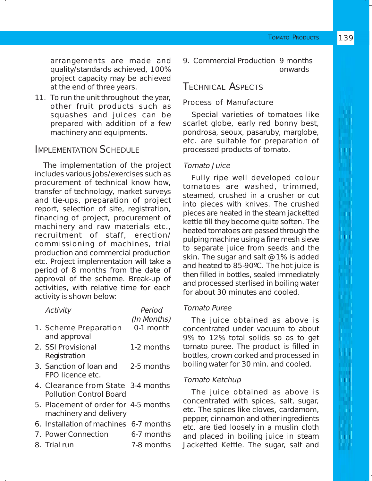arrangements are made and quality/standards achieved, 100% project capacity may be achieved at the end of three years.

11. To run the unit throughout the year, other fruit products such as squashes and juices can be prepared with addition of a few machinery and equipments.

# IMPLEMENTATION SCHEDULE

The implementation of the project includes various jobs/exercises such as procurement of technical know how, transfer of technology, market surveys and tie-ups, preparation of project report, selection of site, registration, financing of project, procurement of machinery and raw materials etc., recruitment of staff, erection/ commissioning of machines, trial production and commercial production etc. Project implementation will take a period of 8 months from the date of approval of the scheme. Break-up of activities, with relative time for each activity is shown below:

| Activity                                                             | Period<br>(In Months) |  |
|----------------------------------------------------------------------|-----------------------|--|
| 1. Scheme Preparation<br>and approval                                | 0-1 month             |  |
| 2. SSI Provisional<br>Registration                                   | 1-2 months            |  |
| 3. Sanction of loan and<br>FPO licence etc.                          | 2-5 months            |  |
| 4. Clearance from State 3-4 months<br><b>Pollution Control Board</b> |                       |  |
| 5. Placement of order for 4-5 months<br>machinery and delivery       |                       |  |
| 6. Installation of machines 6-7 months                               |                       |  |
| 7. Power Connection                                                  | 6-7 months            |  |
| 8. Trial run                                                         | 7-8 months            |  |

9. Commercial Production 9 months onwards

# TECHNICAL ASPECTS

# Process of Manufacture

Special varieties of tomatoes like scarlet globe, early red bonny best, pondrosa, seoux, pasaruby, marglobe, etc. are suitable for preparation of processed products of tomato.

# Tomato Juice

Fully ripe well developed colour tomatoes are washed, trimmed, steamed, crushed in a crusher or cut into pieces with knives. The crushed pieces are heated in the steam jacketted kettle till they become quite soften. The heated tomatoes are passed through the pulping machine using a fine mesh sieve to separate juice from seeds and the skin. The sugar and salt @ 1% is added and heated to 85-90**º**C. The hot juice is then filled in bottles, sealed immediately and processed sterlised in boiling water for about 30 minutes and cooled.

## Tomato Puree

The juice obtained as above is concentrated under vacuum to about 9% to 12% total solids so as to get tomato puree. The product is filled in bottles, crown corked and processed in boiling water for 30 min. and cooled.

## Tomato Ketchup

The juice obtained as above is concentrated with spices, salt, sugar, etc. The spices like cloves, cardamom, pepper, cinnamon and other ingredients etc. are tied loosely in a muslin cloth and placed in boiling juice in steam Jacketted Kettle. The sugar, salt and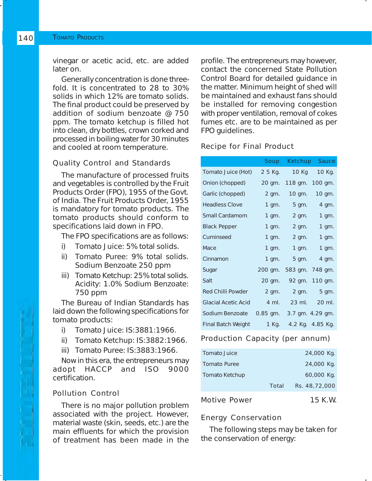vinegar or acetic acid, etc. are added later on.

Generally concentration is done threefold. It is concentrated to 28 to 30% solids in which 12% are tomato solids. The final product could be preserved by addition of sodium benzoate @ 750 ppm. The tomato ketchup is filled hot into clean, dry bottles, crown corked and processed in boiling water for 30 minutes and cooled at room temperature.

#### Quality Control and Standards

The manufacture of processed fruits and vegetables is controlled by the Fruit Products Order (FPO), 1955 of the Govt. of India. The Fruit Products Order, 1955 is mandatory for tomato products. The tomato products should conform to specifications laid down in FPO.

The FPO specifications are as follows:

- i) Tomato Juice: 5% total solids.
- ii) Tomato Puree: 9% total solids. Sodium Benzoate 250 ppm
- iii) Tomato Ketchup: 25% total solids. Acidity: 1.0% Sodium Benzoate: 750 ppm

The Bureau of Indian Standards has laid down the following specifications for tomato products:

- i) Tomato Juice: IS:3881:1966.
- ii) Tomato Ketchup: IS:3882:1966.
- iii) Tomato Puree: IS:3883:1966.

Now in this era, the entrepreneurs may<br>adopt HACCP and ISO 9000 HACCP and ISO 9000 certification.

#### Pollution Control

There is no major pollution problem associated with the project. However, material waste (skin, seeds, etc.) are the main effluents for which the provision of treatment has been made in the profile. The entrepreneurs may however, contact the concerned State Pollution Control Board for detailed guidance in the matter. Minimum height of shed will be maintained and exhaust fans should be installed for removing congestion with proper ventilation, removal of cokes fumes etc. are to be maintained as per FPO guidelines.

#### Recipe for Final Product

|                           | <b>Soup</b> |                 | Ketchup Sauce    |
|---------------------------|-------------|-----------------|------------------|
| Tomato Juice (Hot)        | 2 5 Kg.     | 10 Kg           | 10 Kg.           |
| Onion (chopped)           | 20 qm.      | 118 gm. 100 gm. |                  |
| Garlic (chopped)          | 2 gm.       | 10 gm.          | 10 gm.           |
| <b>Headless Clove</b>     | 1 gm.       | 5 gm.           | 4 gm.            |
| <b>Small Cardamom</b>     | 1 gm.       | $2 \text{ gm.}$ | $1$ gm.          |
| <b>Black Pepper</b>       | 1 gm.       | $2 \text{ gm.}$ | $1$ gm.          |
| Cuminseed                 | 1 gm.       | 2 gm.           | 1 gm.            |
| Mace                      | 1 gm.       | $1 \text{ gm.}$ | $1$ gm.          |
| Cinnamon                  | $1$ gm.     | $5$ qm.         | 4 gm.            |
| Sugar                     | 200 gm.     | 583 gm.         | 748 gm.          |
| Salt                      | 20 gm.      | 92 gm.          | 110 gm.          |
| <b>Red Chilli Powder</b>  | 2 gm.       | $2 \text{ gm.}$ | 5 gm.            |
| Glacial Acetic Acid       | 4 ml.       |                 | 23 ml. 20 ml.    |
| Sodium Benzoate           | $0.85$ gm.  |                 | 3.7 gm. 4.29 gm. |
| <b>Final Batch Weight</b> | 1 Kg.       |                 | 4.2 Kg. 4.85 Kg. |
|                           |             |                 |                  |

#### Production Capacity (per annum)

| Tomato Juice          |       | 24,000 Kg.    |
|-----------------------|-------|---------------|
| Tomato Puree          |       | 24,000 Kg.    |
| <b>Tomato Ketchup</b> |       | 60,000 Kg.    |
|                       | Total | Rs. 48,72,000 |
| <b>Motive Power</b>   |       | 15 K.W.       |

#### Energy Conservation

The following steps may be taken for the conservation of energy: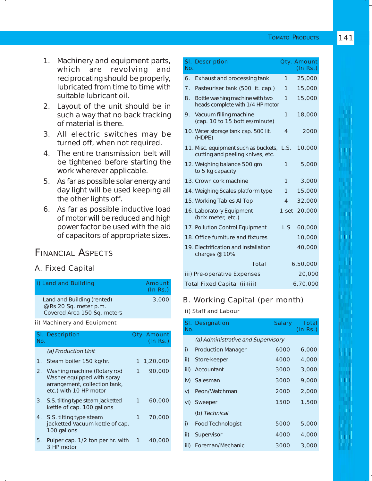- 1. Machinery and equipment parts, which are revolving and reciprocating should be properly, lubricated from time to time with suitable lubricant oil.
- 2. Layout of the unit should be in such a way that no back tracking of material is there.
- 3. All electric switches may be turned off, when not required.
- 4. The entire transmission belt will be tightened before starting the work wherever applicable.
- 5. As far as possible solar energy and day light will be used keeping all the other lights off.
- 6. As far as possible inductive load of motor will be reduced and high power factor be used with the aid of capacitors of appropriate sizes.

# FINANCIAL ASPECTS

### A. Fixed Capital

|     | i) Land and Building                                                                                                    |           | Amount<br>(In Rs.)      |
|-----|-------------------------------------------------------------------------------------------------------------------------|-----------|-------------------------|
|     | Land and Building (rented)<br>@ Rs 20 Sq. meter p.m.<br>Covered Area 150 Sq. meters                                     |           | 3,000                   |
|     | ii) Machinery and Equipment                                                                                             |           |                         |
| No. | SI. Description                                                                                                         |           | Qty. Amount<br>(ln Rs.) |
|     | (a) Production Unit                                                                                                     |           |                         |
|     | 1. Steam boiler 150 kg/hr.                                                                                              |           | 1 1,20,000              |
|     | 2. Washing machine (Rotary rod<br>Washer equipped with spray<br>arrangement, collection tank,<br>etc.) with 10 HP motor | $1 \quad$ | 90,000                  |
|     | 3. S.S. tilting type steam jacketted<br>kettle of cap. 100 gallons                                                      | 1         | 60,000                  |
|     | 4. S.S. tilting type steam                                                                                              | 1         | 70,000                  |

- jacketted Vacuum kettle of cap. 100 gallons 5. Pulper cap. 1/2 ton per hr. with 1 40,000
- 3 HP motor

| No.            | SI. Description                                                               |                | Qty. Amount<br>(ln Rs.) |
|----------------|-------------------------------------------------------------------------------|----------------|-------------------------|
| 6.             | Exhaust and processing tank                                                   | 1              | 25,000                  |
| 7 <sub>1</sub> | Pasteuriser tank (500 lit. cap.)                                              | 1              | 15,000                  |
| 8.             | Bottle washing machine with two<br>heads complete with 1/4 HP motor           | 1              | 15,000                  |
| 9.             | Vacuum filling machine<br>(cap. 10 to 15 bottles/minute)                      | $\mathbf{1}$   | 18,000                  |
|                | 10. Water storage tank cap. 500 lit.<br>(HDPE)                                | 4              | 2000                    |
|                | 11. Misc. equipment such as buckets, L.S.<br>cutting and peeling knives, etc. |                | 10,000                  |
|                | 12. Weighing balance 500 gm<br>to 5 kg capacity                               | 1              | 5,000                   |
|                | 13. Crown cork machine                                                        | 1              | 3,000                   |
|                | 14. Weighing Scales platform type                                             | 1              | 15,000                  |
|                | 15. Working Tables AI Top                                                     | $\overline{4}$ | 32,000                  |
|                | 16. Laboratory Equipment<br>(brix meter, etc.)                                | 1 set          | 20,000                  |
|                | 17. Pollution Control Equipment                                               | L.S            | 60,000                  |
|                | 18. Office furniture and fixtures                                             |                | 10,000                  |
|                | 19. Electrification and installation<br>charges @ 10%                         |                | 40,000                  |
|                | Total                                                                         |                | 6,50,000                |
|                | iii) Pre-operative Expenses                                                   |                | 20,000                  |
|                | Total Fixed Capital (ii+iii)                                                  |                | 6,70,000                |

#### B. Working Capital (per month)

(i) Staff and Labour

| No.  | SI. Designation                    | <b>Salary</b> | Total<br>$($ ln Rs. $)$ |
|------|------------------------------------|---------------|-------------------------|
|      | (a) Administrative and Supervisory |               |                         |
| i)   | <b>Production Manager</b>          | 6000          | 6,000                   |
| ii)  | Store-keeper                       | 4000          | 4,000                   |
| iii) | Accountant                         | 3000          | 3,000                   |
| iv)  | Salesman                           | 3000          | 9,000                   |
| V)   | Peon/Watchman                      | 2000          | 2,000                   |
| vi)  | Sweeper                            | 1500          | 1,500                   |
|      | (b) Technical                      |               |                         |
| i)   | <b>Food Technologist</b>           | 5000          | 5,000                   |
| ii)  | Supervisor                         | 4000          | 4,000                   |
| iii) | Foreman/Mechanic                   | 3000          | 3,000                   |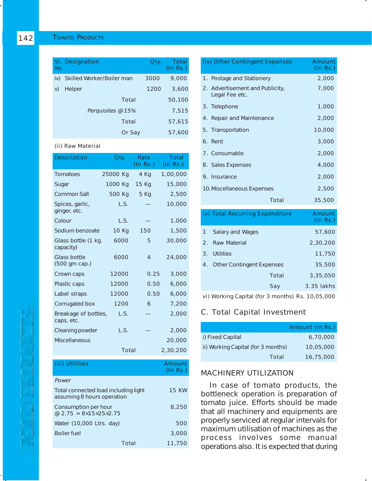| No. | SI. Designation           | Qty. | Total<br>(In Rs.) |
|-----|---------------------------|------|-------------------|
| iv) | Skilled Worker/Boiler man | 3000 | 9,000             |
| V)  | Helper                    | 1200 | 3,600             |
|     | Total                     |      | 50,100            |
|     | Perquisites @ 15%         |      | 7,515             |
|     | Total                     |      | 57,615            |
|     | Or Say                    |      | 57,600            |

#### (ii) Raw Material

| <b>Description</b>                 | Qty.     | Rate<br>(In Rs.) | Total<br>(ln Rs.) |
|------------------------------------|----------|------------------|-------------------|
| Tomatoes                           | 25000 Kg | 4 Kg             | 1,00,000          |
| Sugar                              | 1000 Kg  | 15 Kg            | 15,000            |
| <b>Common Salt</b>                 | 500 Kg   | 5 Kg             | 2,500             |
| Spices, garlic,<br>ginger, etc.    | L.S.     |                  | 10,000            |
| Colour                             | L.S.     |                  | 1,000             |
| Sodium benzoate                    | 10 Kg    | 150              | 1,500             |
| Glass bottle (1 kg.<br>capacity)   | 6000     | 5                | 30,000            |
| Glass bottle<br>(500 gm cap.)      | 6000     | 4                | 24,000            |
| Crown caps                         | 12000    | 0.25             | 3,000             |
| Plastic caps                       | 12000    | 0.50             | 6,000             |
| Label straps                       | 12000    | 0.50             | 6,000             |
| Corrugated box                     | 1200     | 6                | 7,200             |
| Breakage of bottles,<br>caps, etc. | L.S.     |                  | 2,000             |
| <b>Cleaning powder</b>             | L.S.     |                  | 2,000             |
| <b>Miscellaneous</b>               |          |                  | 20,000            |
|                                    | Total    |                  | 2,30,200          |

| (iii) Utilities                                                      | Amount<br>$($ ln Rs $.)$ |
|----------------------------------------------------------------------|--------------------------|
| Power                                                                |                          |
| Total connected load including light<br>assuming 8 hours operation   | <b>15 KW</b>             |
| Consumption per hour<br>@ $2.75 = 8 \times 15 \times 25 \times 2.75$ | 8,250                    |
| Water (10,000 Ltrs. day)                                             | 500                      |
| <b>Boiler fuel</b>                                                   | 3,000                    |
| Total                                                                | 11,750                   |

| (iv) Other Contingent Expenses                    | Amount<br>(ln Rs.) |
|---------------------------------------------------|--------------------|
| 1. Postage and Stationery                         | 2,000              |
| 2. Advertisement and Publicity,<br>Legal Fee etc. | 7,000              |
| 3. Telephone                                      | 1,000              |
| 4. Repair and Maintenance                         | 2,000              |
| 5. Transportation                                 | 10,000             |
| 6. Rent                                           | 3,000              |
| 7. Consumable                                     | 2,000              |
| 8. Sales Expenses                                 | 4,000              |
| 9. Insurance                                      | 2,000              |
| 10. Miscellaneous Expenses                        | 2,500              |
| Total                                             | 35,500             |
|                                                   |                    |

|                | (v) Total Recurring Expenditure |       | Amount<br>$($ ln Rs. $)$ |
|----------------|---------------------------------|-------|--------------------------|
| $\mathbf{1}$   | <b>Salary and Wages</b>         |       | 57,600                   |
| $\mathcal{P}$  | Raw Material                    |       | 2,30,200                 |
| $\mathbf{3}$ . | Utilities                       |       | 11,750                   |
|                | 4. Other Contingent Expenses    |       | 35,500                   |
|                |                                 | Total | 3,35,050                 |
|                |                                 | Say   | 3.35 lakhs               |
|                |                                 |       |                          |

vi) Working Capital (for 3 months) Rs. 10,05,000

# C. Total Capital Investment

|                                    | Amount (In Rs.) |
|------------------------------------|-----------------|
| i) Fixed Capital                   | 6,70,000        |
| ii) Working Capital (for 3 months) | 10.05.000       |
| Total                              | 16,75,000       |

#### MACHINERY UTILIZATION

In case of tomato products, the bottleneck operation is preparation of tomato juice. Efforts should be made that all machinery and equipments are properly serviced at regular intervals for maximum utilisation of machines as the process involves some manual operations also. It is expected that during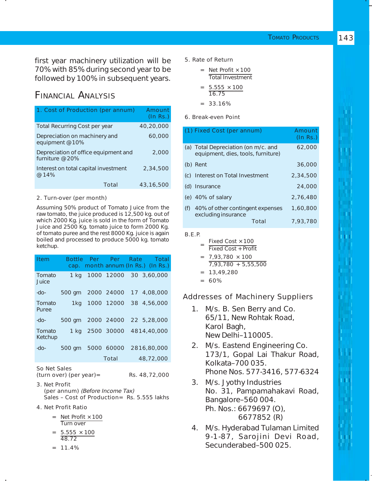first year machinery utilization will be 70% with 85% during second year to be followed by 100% in subsequent years.

# FINANCIAL ANALYSIS

| 1. Cost of Production (per annum)                       | Amount<br>(In Rs.) |
|---------------------------------------------------------|--------------------|
| <b>Total Recurring Cost per year</b>                    | 40,20,000          |
| Depreciation on machinery and<br>equipment @ 10%        | 60,000             |
| Depreciation of office equipment and<br>furniture @ 20% | 2,000              |
| Interest on total capital investment<br>@ 14%           | 2,34,500           |
| Total                                                   | 43,16,500          |

#### 2. Turn-over (per month)

Assuming 50% product of Tomato Juice from the raw tomato, the juice produced is 12,500 kg. out of which 2000 Kg. juice is sold in the form of Tomato Juice and 2500 Kg. tomato juice to form 2000 Kg. of tomato puree and the rest 8000 Kg. juice is again boiled and processed to produce 5000 kg. tomato ketchup.

| Item              |                               |  | Bottle Per Per Rate |  | - Total<br>cap. month annum (In Rs.) (In Rs.) |
|-------------------|-------------------------------|--|---------------------|--|-----------------------------------------------|
| Tomato<br>Juice   | 1 kg                          |  |                     |  | 1000 12000 30 3,60,000                        |
| -do-              | 500 gm                        |  |                     |  | 2000 24000 17 4,08,000                        |
| Tomato<br>Puree   |                               |  |                     |  | 1kg 1000 12000 38 4,56,000                    |
| -do-              | 500 gm 2000 24000 22 5,28,000 |  |                     |  |                                               |
| Tomato<br>Ketchup |                               |  |                     |  | 1 kg 2500 30000 4814,40,000                   |
| -do-              | 500 gm                        |  | 5000 60000          |  | 2816,80,000                                   |
|                   |                               |  | Total               |  | 48,72,000                                     |
| So Net Sales      |                               |  |                     |  |                                               |

 $(turn over)$  (per year)= Rs. 48,72,000

- 3. Net Profit (per annum) (Before Income Tax) Sales – Cost of Production= Rs. 5.555 lakhs
- 4. Net Profit Ratio
	- = Net Profit **×** 100 Turn over
	- = 5.555 **×** 100 48.72
	- $= 11.4%$

5. Rate of Return

| $=$ | Net Profit × 100        |  |  |  |
|-----|-------------------------|--|--|--|
|     | <b>Total Investment</b> |  |  |  |

$$
= \frac{5.555 \times 100}{16.75}
$$

 $= 33.16%$ 

#### 6. Break-even Point

|     | (1) Fixed Cost (per annum)                                                |          | Amount<br>(In Rs.) |
|-----|---------------------------------------------------------------------------|----------|--------------------|
|     | (a) Total Depreciation (on m/c. and<br>equipment, dies, tools, furniture) |          | 62,000             |
|     | (b) Rent                                                                  |          | 36,000             |
|     | (c) Interest on Total Investment                                          |          | 2,34,500           |
| (d) | Insurance                                                                 |          | 24,000             |
|     | (e) $40\%$ of salary                                                      |          | 2.76.480           |
| (f) | 40% of other contingent expenses<br>excluding insurance<br>Total          | 1,60,800 |                    |
|     |                                                                           |          | 7.93.780           |
|     |                                                                           |          |                    |

B.E.P.

- <sup>=</sup> Fixed Cost **×**<sup>100</sup> Fixed Cost + Profit
- = 7,93,780 **×** 100 7,93,780 + 5,55,500
- $= 13,49,280$
- $= 60%$

#### Addresses of Machinery Suppliers

- 1. M/s. B. Sen Berry and Co. 65/11, New Rohtak Road, Karol Bagh, New Delhi–110005.
- 2. M/s. Eastend Engineering Co. 173/1, Gopal Lai Thakur Road, Kolkata–700 035. Phone Nos. 577-3416, 577-6324
- 3. M/s. Jyothy Industries No. 31, Pampamahakavi Road, Bangalore–560 004. Ph. Nos.: 6679697 (O), 6677852 (R)
- 4. M/s. Hyderabad Tulaman Limited 9-1-87, Sarojini Devi Road, Secunderabed–500 025.